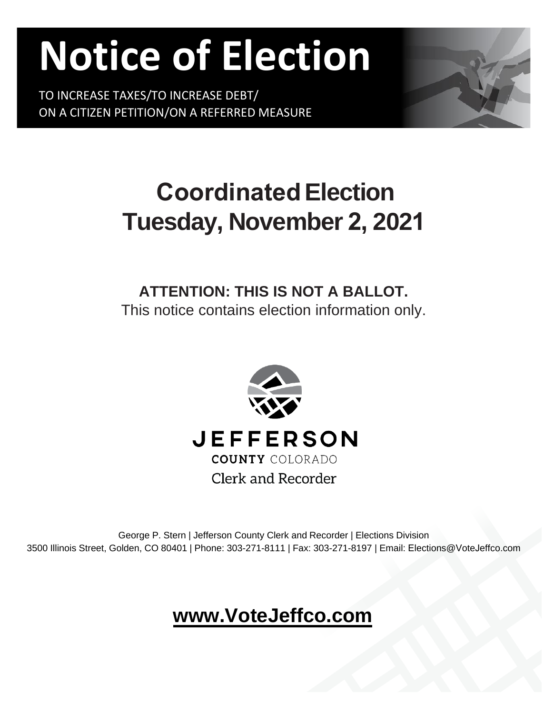# **Notice of Election**

TO INCREASE TAXES/TO INCREASE DEBT/ ON A CITIZEN PETITION/ON A REFERRED MEASURE



# **Coordinated Election Tuesday, November 2, 2021**

# **ATTENTION: THIS IS NOT A BALLOT.**

This notice contains election information only.



George P. Stern | Jefferson County Clerk and Recorder | Elections Division 3500 Illinois Street, Golden, CO 80401 | Phone: 303-271-8111 | Fax: 303-271-8197 | Email: Elections@VoteJeffco.com

## **[www.VoteJeffco.co](http://www.votejeffco.com/)m**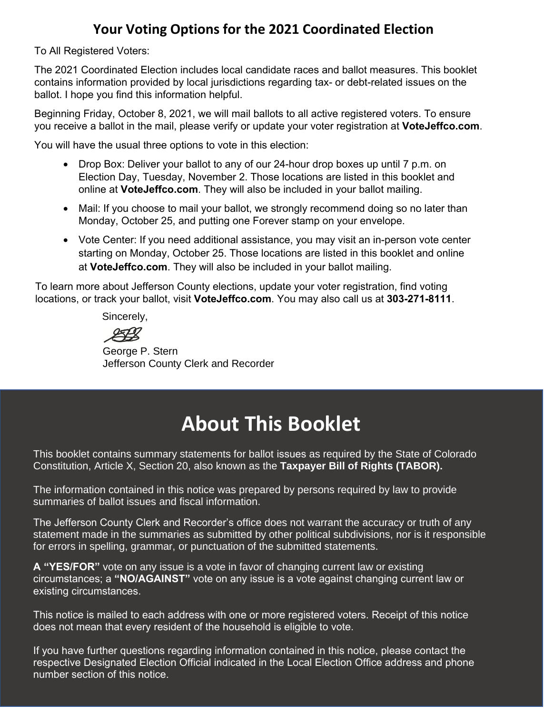#### **Your Voting Options for the 2021 Coordinated Election**

To All Registered Voters:

The 2021 Coordinated Election includes local candidate races and ballot measures. This booklet contains information provided by local jurisdictions regarding tax- or debt-related issues on the ballot. I hope you find this information helpful.

Beginning Friday, October 8, 2021, we will mail ballots to all active registered voters. To ensure you receive a ballot in the mail, please verify or update your voter registration at **VoteJeffco.com**.

You will have the usual three options to vote in this election:

- Drop Box: Deliver your ballot to any of our 24-hour drop boxes up until 7 p.m. on Election Day, Tuesday, November 2. Those locations are listed in this booklet and online at **VoteJeffco.com**. They will also be included in your ballot mailing.
- Mail: If you choose to mail your ballot, we strongly recommend doing so no later than Monday, October 25, and putting one Forever stamp on your envelope.
- Vote Center: If you need additional assistance, you may visit an in-person vote center starting on Monday, October 25. Those locations are listed in this booklet and online at **VoteJeffco.com**. They will also be included in your ballot mailing.

To learn more about Jefferson County elections, update your voter registration, find voting locations, or track your ballot, visit **VoteJeffco.com**. You may also call us at **303-271-8111**.

Sincerely,

LA

George P. Stern Jefferson County Clerk and Recorder

## **About This Booklet**

This booklet contains summary statements for ballot issues as required by the State of Colorado Constitution, Article X, Section 20, also known as the **Taxpayer Bill of Rights (TABOR).**

The information contained in this notice was prepared by persons required by law to provide summaries of ballot issues and fiscal information.

The Jefferson County Clerk and Recorder's office does not warrant the accuracy or truth of any statement made in the summaries as submitted by other political subdivisions, nor is it responsible for errors in spelling, grammar, or punctuation of the submitted statements.

**A "YES/FOR"** vote on any issue is a vote in favor of changing current law or existing circumstances; a **"NO/AGAINST"** vote on any issue is a vote against changing current law or existing circumstances.

This notice is mailed to each address with one or more registered voters. Receipt of this notice does not mean that every resident of the household is eligible to vote.

If you have further questions regarding information contained in this notice, please contact the respective Designated Election Official indicated in the Local Election Office address and phone number section of this notice.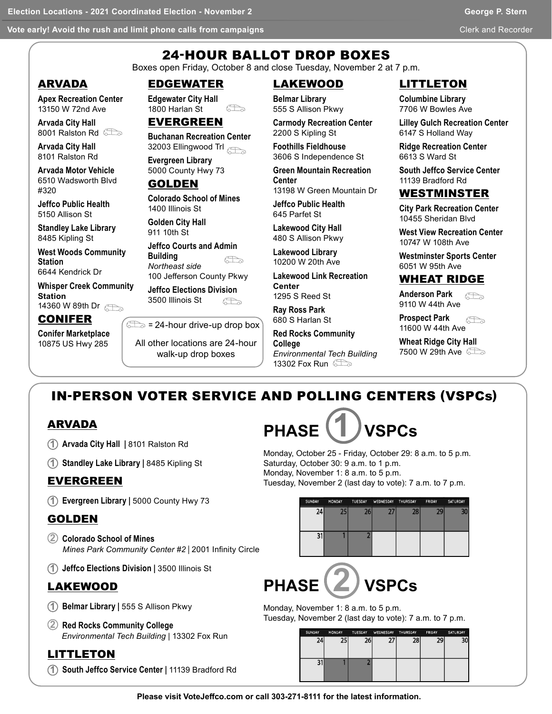**Vote early! Avoid the rush and limit phone calls from campaigns Clerk and Recorder and Recorder and Recorder An** 

### 24-HOUR BALLOT DROP BOXES

Boxes open Friday, October 8 and close Tuesday, November 2 at 7 p.m.

#### ARVADA

**Apex Recreation Center** 13150 W 72nd Ave

**Arvada City Hall**  8001 Ralston Rd

**Arvada City Hall**  8101 Ralston Rd

**Arvada Motor Vehicle** 6510 Wadsworth Blvd #320

**Jeffco Public Health** 5150 Allison St

**Standley Lake Library**  8485 Kipling St

**West Woods Community Station**  6644 Kendrick Dr

**Whisper Creek Community Station** 

14360 W 89th Dr

#### CONIFER

**Conifer Marketplace**  10875 US Hwy 285

EDGEWATER

**Edgewater City Hall**  1800 Harlan St  $\bigoplus$ 

#### EVERGREEN

**Buchanan Recreation Center** 32003 Ellingwood Trl

**Evergreen Library**  5000 County Hwy 73

#### GOLDEN

**Colorado School of Mines**  1400 Illinois St

**Golden City Hall**  911 10th St

**Jeffco Courts and Admin Building**  Æ *Northeast side*  100 Jefferson County Pkwy

**Jeffco Elections Division** 3500 Illinois St b<sup>a</sup>

 $\epsilon$  = 24-hour drive-up drop box

All other locations are 24-hour

walk-up drop boxes

#### LAKEWOOD

**Belmar Library** 555 S Allison Pkwy

**Carmody Recreation Center**  2200 S Kipling St

**Foothills Fieldhouse**  3606 S Independence St

**Green Mountain Recreation Center**  13198 W Green Mountain Dr

**Jeffco Public Health**

645 Parfet St **Lakewood City Hall** 

480 S Allison Pkwy **Lakewood Library** 10200 W 20th Ave

**Lakewood Link Recreation Center**

1295 S Reed St **Ray Ross Park**

680 S Harlan St

*Environmental Tech Building*  13302 Fox Run **the State** 

LITTLETON

**Columbine Library**  7706 W Bowles Ave

**Lilley Gulch Recreation Center** 6147 S Holland Way

**Ridge Recreation Center**  6613 S Ward St

**South Jeffco Service Center**  11139 Bradford Rd

#### WESTMINSTER

**City Park Recreation Center**  10455 Sheridan Blvd

**West View Recreation Center**  10747 W 108th Ave

**Westminster Sports Center**  6051 W 95th Ave

#### WHEAT RIDGE

**Anderson Park**  $\curvearrowleft$ 9110 W 44th Ave

**Prospect Park** 6Þ 11600 W 44th Ave

**Wheat Ridge City Hall**  7500 W 29th Ave 2

### IN-PERSON VOTER SERVICE AND POLLING CENTERS (VSPCs)

#### ARVADA

- **1 Arvada City Hall |** 8101 Ralston Rd
- **1 Standley Lake Library |** 8485 Kipling St

#### EVERGREEN

**1 Evergreen Library |** 5000 County Hwy 73

#### GOLDEN

- **2 Colorado School of Mines** *Mines Park Community Center #2* | 2001 Infinity Circle
- **1 Jeffco Elections Division |** 3500 Illinois St

#### LAKEWOOD

- **1 Belmar Library |** 555 S Allison Pkwy
- **2 Red Rocks Community College** *Environmental Tech Building* | 13302 Fox Run

#### LITTLETON

**1 South Jeffco Service Center |** 11139 Bradford Rd



Monday, October 25 - Friday, October 29: 8 a.m. to 5 p.m. Saturday, October 30: 9 a.m. to 1 p.m. Monday, November 1: 8 a.m. to 5 p.m. Tuesday, November 2 (last day to vote): 7 a.m. to 7 p.m.

| SUNDAY | <b>MONDAY</b> | TUESDAY WEDNESDAY THURSDAY |    | FRIDAY | SATURDAY |
|--------|---------------|----------------------------|----|--------|----------|
| 24     |               |                            | 28 | 29     |          |
|        |               |                            |    |        |          |

# **PHASE 2 VSPCs**

Monday, November 1: 8 a.m. to 5 p.m. Tuesday, November 2 (last day to vote): 7 a.m. to 7 p.m.

| <b>SUNDAY</b> | <b>MONDAY</b> | <b>TUESDAY</b> | WEDNESDAY THURSDAY |    | <b>FRIDAY</b> | SATURDAY |
|---------------|---------------|----------------|--------------------|----|---------------|----------|
| 24            | 25            | 26             | כר                 | 28 | 29            | 30       |
|               |               |                |                    |    |               |          |
|               |               |                |                    |    |               |          |
|               |               |                |                    |    |               |          |
|               |               |                |                    |    |               |          |
|               |               |                |                    |    |               |          |

**Please visit VoteJeffco.com or call 303-271-8111 for the latest information.**

**Red Rocks Community College**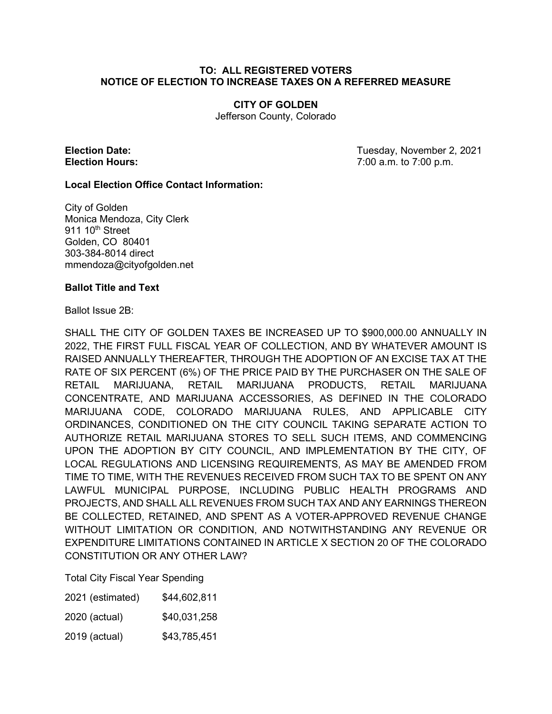#### **TO: ALL REGISTERED VOTERS NOTICE OF ELECTION TO INCREASE TAXES ON A REFERRED MEASURE**

#### **CITY OF GOLDEN**

Jefferson County, Colorado

**Election Date:** Tuesday, November 2, 2021 **Election Hours:** 7:00 a.m. to 7:00 p.m.

#### **Local Election Office Contact Information:**

City of Golden Monica Mendoza, City Clerk  $911 10<sup>th</sup>$  Street Golden, CO 80401 303-384-8014 direct mmendoza@cityofgolden.net

#### **Ballot Title and Text**

Ballot Issue 2B:

SHALL THE CITY OF GOLDEN TAXES BE INCREASED UP TO \$900,000.00 ANNUALLY IN 2022, THE FIRST FULL FISCAL YEAR OF COLLECTION, AND BY WHATEVER AMOUNT IS RAISED ANNUALLY THEREAFTER, THROUGH THE ADOPTION OF AN EXCISE TAX AT THE RATE OF SIX PERCENT (6%) OF THE PRICE PAID BY THE PURCHASER ON THE SALE OF RETAIL MARIJUANA, RETAIL MARIJUANA PRODUCTS, RETAIL MARIJUANA CONCENTRATE, AND MARIJUANA ACCESSORIES, AS DEFINED IN THE COLORADO MARIJUANA CODE, COLORADO MARIJUANA RULES, AND APPLICABLE CITY ORDINANCES, CONDITIONED ON THE CITY COUNCIL TAKING SEPARATE ACTION TO AUTHORIZE RETAIL MARIJUANA STORES TO SELL SUCH ITEMS, AND COMMENCING UPON THE ADOPTION BY CITY COUNCIL, AND IMPLEMENTATION BY THE CITY, OF LOCAL REGULATIONS AND LICENSING REQUIREMENTS, AS MAY BE AMENDED FROM TIME TO TIME, WITH THE REVENUES RECEIVED FROM SUCH TAX TO BE SPENT ON ANY LAWFUL MUNICIPAL PURPOSE, INCLUDING PUBLIC HEALTH PROGRAMS AND PROJECTS, AND SHALL ALL REVENUES FROM SUCH TAX AND ANY EARNINGS THEREON BE COLLECTED, RETAINED, AND SPENT AS A VOTER-APPROVED REVENUE CHANGE WITHOUT LIMITATION OR CONDITION, AND NOTWITHSTANDING ANY REVENUE OR EXPENDITURE LIMITATIONS CONTAINED IN ARTICLE X SECTION 20 OF THE COLORADO CONSTITUTION OR ANY OTHER LAW?

Total City Fiscal Year Spending

| 2021 (estimated) | \$44,602,811 |
|------------------|--------------|
| 2020 (actual)    | \$40,031,258 |

2019 (actual) \$43,785,451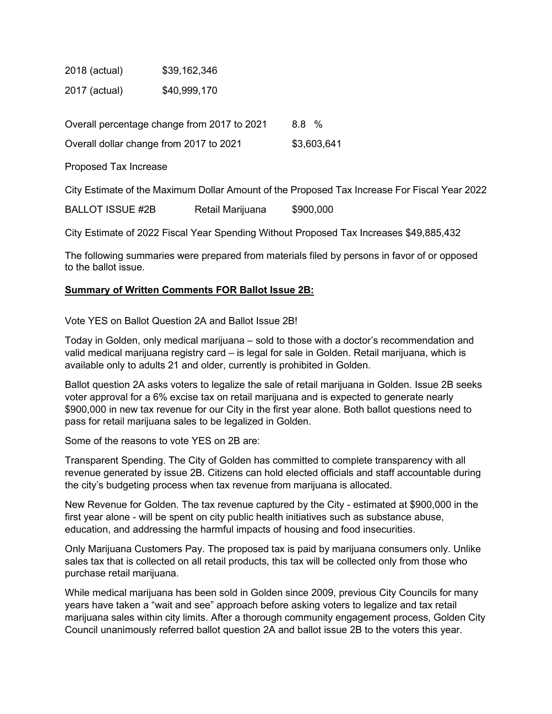2018 (actual) \$39,162,346 2017 (actual) \$40,999,170

| Overall percentage change from 2017 to 2021 | 8.8 %       |
|---------------------------------------------|-------------|
| Overall dollar change from 2017 to 2021     | \$3,603,641 |

Proposed Tax Increase

City Estimate of the Maximum Dollar Amount of the Proposed Tax Increase For Fiscal Year 2022

BALLOT ISSUE #2B Retail Marijuana \$900,000

City Estimate of 2022 Fiscal Year Spending Without Proposed Tax Increases \$49,885,432

The following summaries were prepared from materials filed by persons in favor of or opposed to the ballot issue.

#### **Summary of Written Comments FOR Ballot Issue 2B:**

Vote YES on Ballot Question 2A and Ballot Issue 2B!

Today in Golden, only medical marijuana – sold to those with a doctor's recommendation and valid medical marijuana registry card – is legal for sale in Golden. Retail marijuana, which is available only to adults 21 and older, currently is prohibited in Golden.

Ballot question 2A asks voters to legalize the sale of retail marijuana in Golden. Issue 2B seeks voter approval for a 6% excise tax on retail marijuana and is expected to generate nearly \$900,000 in new tax revenue for our City in the first year alone. Both ballot questions need to pass for retail marijuana sales to be legalized in Golden.

Some of the reasons to vote YES on 2B are:

Transparent Spending. The City of Golden has committed to complete transparency with all revenue generated by issue 2B. Citizens can hold elected officials and staff accountable during the city's budgeting process when tax revenue from marijuana is allocated.

New Revenue for Golden. The tax revenue captured by the City - estimated at \$900,000 in the first year alone - will be spent on city public health initiatives such as substance abuse, education, and addressing the harmful impacts of housing and food insecurities.

Only Marijuana Customers Pay. The proposed tax is paid by marijuana consumers only. Unlike sales tax that is collected on all retail products, this tax will be collected only from those who purchase retail marijuana.

While medical marijuana has been sold in Golden since 2009, previous City Councils for many years have taken a "wait and see" approach before asking voters to legalize and tax retail marijuana sales within city limits. After a thorough community engagement process, Golden City Council unanimously referred ballot question 2A and ballot issue 2B to the voters this year.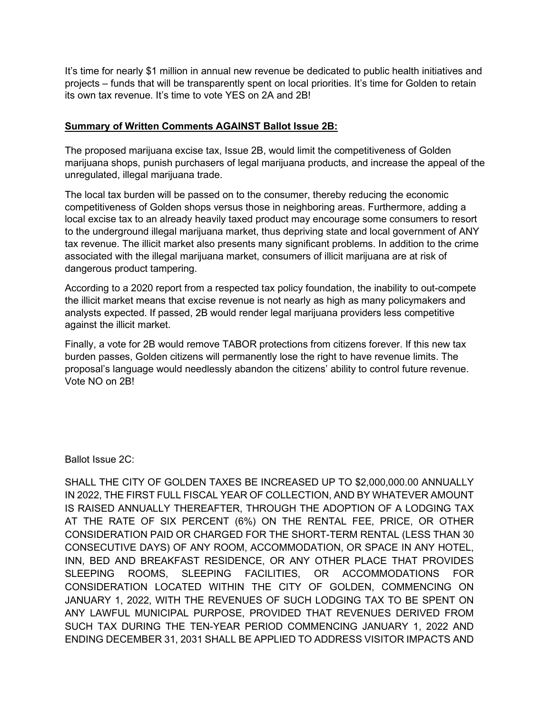It's time for nearly \$1 million in annual new revenue be dedicated to public health initiatives and projects – funds that will be transparently spent on local priorities. It's time for Golden to retain its own tax revenue. It's time to vote YES on 2A and 2B!

#### **Summary of Written Comments AGAINST Ballot Issue 2B:**

The proposed marijuana excise tax, Issue 2B, would limit the competitiveness of Golden marijuana shops, punish purchasers of legal marijuana products, and increase the appeal of the unregulated, illegal marijuana trade.

The local tax burden will be passed on to the consumer, thereby reducing the economic competitiveness of Golden shops versus those in neighboring areas. Furthermore, adding a local excise tax to an already heavily taxed product may encourage some consumers to resort to the underground illegal marijuana market, thus depriving state and local government of ANY tax revenue. The illicit market also presents many significant problems. In addition to the crime associated with the illegal marijuana market, consumers of illicit marijuana are at risk of dangerous product tampering.

According to a 2020 report from a respected tax policy foundation, the inability to out-compete the illicit market means that excise revenue is not nearly as high as many policymakers and analysts expected. If passed, 2B would render legal marijuana providers less competitive against the illicit market.

Finally, a vote for 2B would remove TABOR protections from citizens forever. If this new tax burden passes, Golden citizens will permanently lose the right to have revenue limits. The proposal's language would needlessly abandon the citizens' ability to control future revenue. Vote NO on 2B!

Ballot Issue 2C:

SHALL THE CITY OF GOLDEN TAXES BE INCREASED UP TO \$2,000,000.00 ANNUALLY IN 2022, THE FIRST FULL FISCAL YEAR OF COLLECTION, AND BY WHATEVER AMOUNT IS RAISED ANNUALLY THEREAFTER, THROUGH THE ADOPTION OF A LODGING TAX AT THE RATE OF SIX PERCENT (6%) ON THE RENTAL FEE, PRICE, OR OTHER CONSIDERATION PAID OR CHARGED FOR THE SHORT-TERM RENTAL (LESS THAN 30 CONSECUTIVE DAYS) OF ANY ROOM, ACCOMMODATION, OR SPACE IN ANY HOTEL, INN, BED AND BREAKFAST RESIDENCE, OR ANY OTHER PLACE THAT PROVIDES SLEEPING ROOMS, SLEEPING FACILITIES, OR ACCOMMODATIONS FOR CONSIDERATION LOCATED WITHIN THE CITY OF GOLDEN, COMMENCING ON JANUARY 1, 2022, WITH THE REVENUES OF SUCH LODGING TAX TO BE SPENT ON ANY LAWFUL MUNICIPAL PURPOSE, PROVIDED THAT REVENUES DERIVED FROM SUCH TAX DURING THE TEN-YEAR PERIOD COMMENCING JANUARY 1, 2022 AND ENDING DECEMBER 31, 2031 SHALL BE APPLIED TO ADDRESS VISITOR IMPACTS AND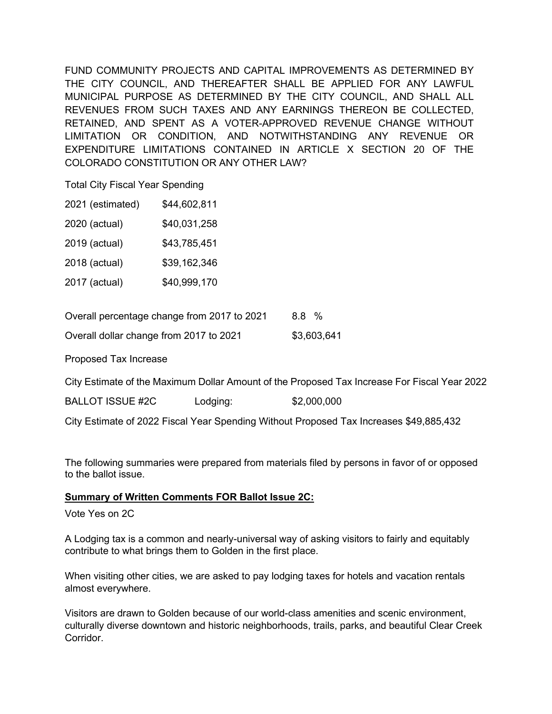FUND COMMUNITY PROJECTS AND CAPITAL IMPROVEMENTS AS DETERMINED BY THE CITY COUNCIL, AND THEREAFTER SHALL BE APPLIED FOR ANY LAWFUL MUNICIPAL PURPOSE AS DETERMINED BY THE CITY COUNCIL, AND SHALL ALL REVENUES FROM SUCH TAXES AND ANY EARNINGS THEREON BE COLLECTED, RETAINED, AND SPENT AS A VOTER-APPROVED REVENUE CHANGE WITHOUT LIMITATION OR CONDITION, AND NOTWITHSTANDING ANY REVENUE OR EXPENDITURE LIMITATIONS CONTAINED IN ARTICLE X SECTION 20 OF THE COLORADO CONSTITUTION OR ANY OTHER LAW?

Total City Fiscal Year Spending

|  | 2021 (estimated) | \$44,602,811 |
|--|------------------|--------------|
|--|------------------|--------------|

|  | 2020 (actual) | \$40,031,258 |
|--|---------------|--------------|
|--|---------------|--------------|

- 2019 (actual) \$43,785,451
- 2018 (actual) \$39,162,346
- 2017 (actual) \$40,999,170

| Overall percentage change from 2017 to 2021 | 8.8 %       |
|---------------------------------------------|-------------|
| Overall dollar change from 2017 to 2021     | \$3,603,641 |

Proposed Tax Increase

City Estimate of the Maximum Dollar Amount of the Proposed Tax Increase For Fiscal Year 2022

BALLOT ISSUE #2C Lodging: \$2,000,000

City Estimate of 2022 Fiscal Year Spending Without Proposed Tax Increases \$49,885,432

The following summaries were prepared from materials filed by persons in favor of or opposed to the ballot issue.

#### **Summary of Written Comments FOR Ballot Issue 2C:**

Vote Yes on 2C

A Lodging tax is a common and nearly-universal way of asking visitors to fairly and equitably contribute to what brings them to Golden in the first place.

When visiting other cities, we are asked to pay lodging taxes for hotels and vacation rentals almost everywhere.

Visitors are drawn to Golden because of our world-class amenities and scenic environment, culturally diverse downtown and historic neighborhoods, trails, parks, and beautiful Clear Creek Corridor.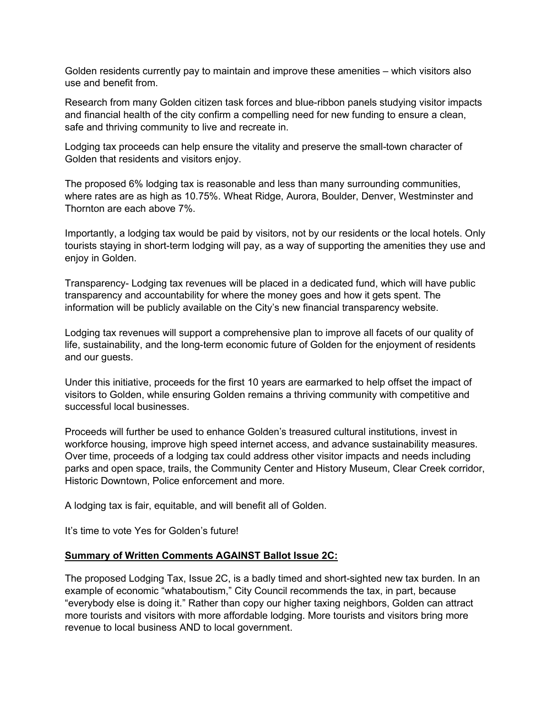Golden residents currently pay to maintain and improve these amenities – which visitors also use and benefit from.

Research from many Golden citizen task forces and blue-ribbon panels studying visitor impacts and financial health of the city confirm a compelling need for new funding to ensure a clean, safe and thriving community to live and recreate in.

Lodging tax proceeds can help ensure the vitality and preserve the small-town character of Golden that residents and visitors enjoy.

The proposed 6% lodging tax is reasonable and less than many surrounding communities, where rates are as high as 10.75%. Wheat Ridge, Aurora, Boulder, Denver, Westminster and Thornton are each above 7%.

Importantly, a lodging tax would be paid by visitors, not by our residents or the local hotels. Only tourists staying in short-term lodging will pay, as a way of supporting the amenities they use and enjoy in Golden.

Transparency- Lodging tax revenues will be placed in a dedicated fund, which will have public transparency and accountability for where the money goes and how it gets spent. The information will be publicly available on the City's new financial transparency website.

Lodging tax revenues will support a comprehensive plan to improve all facets of our quality of life, sustainability, and the long-term economic future of Golden for the enjoyment of residents and our guests.

Under this initiative, proceeds for the first 10 years are earmarked to help offset the impact of visitors to Golden, while ensuring Golden remains a thriving community with competitive and successful local businesses.

Proceeds will further be used to enhance Golden's treasured cultural institutions, invest in workforce housing, improve high speed internet access, and advance sustainability measures. Over time, proceeds of a lodging tax could address other visitor impacts and needs including parks and open space, trails, the Community Center and History Museum, Clear Creek corridor, Historic Downtown, Police enforcement and more.

A lodging tax is fair, equitable, and will benefit all of Golden.

It's time to vote Yes for Golden's future!

#### **Summary of Written Comments AGAINST Ballot Issue 2C:**

The proposed Lodging Tax, Issue 2C, is a badly timed and short-sighted new tax burden. In an example of economic "whataboutism," City Council recommends the tax, in part, because "everybody else is doing it." Rather than copy our higher taxing neighbors, Golden can attract more tourists and visitors with more affordable lodging. More tourists and visitors bring more revenue to local business AND to local government.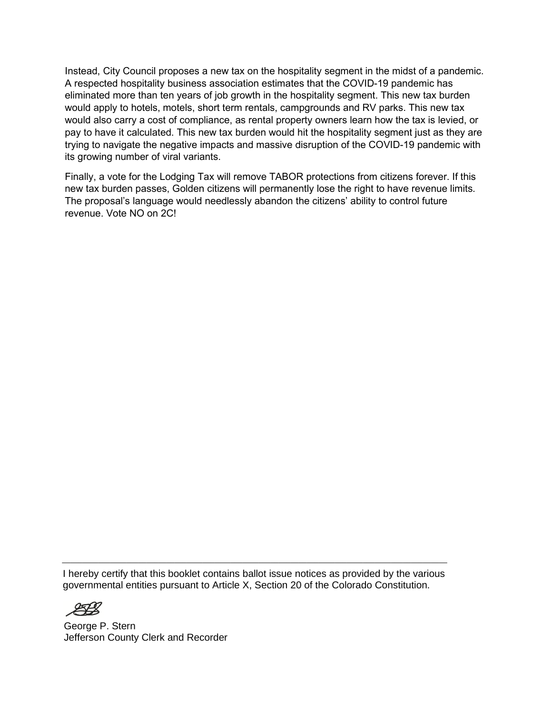Instead, City Council proposes a new tax on the hospitality segment in the midst of a pandemic. A respected hospitality business association estimates that the COVID-19 pandemic has eliminated more than ten years of job growth in the hospitality segment. This new tax burden would apply to hotels, motels, short term rentals, campgrounds and RV parks. This new tax would also carry a cost of compliance, as rental property owners learn how the tax is levied, or pay to have it calculated. This new tax burden would hit the hospitality segment just as they are trying to navigate the negative impacts and massive disruption of the COVID-19 pandemic with its growing number of viral variants.

Finally, a vote for the Lodging Tax will remove TABOR protections from citizens forever. If this new tax burden passes, Golden citizens will permanently lose the right to have revenue limits. The proposal's language would needlessly abandon the citizens' ability to control future revenue. Vote NO on 2C!

I hereby certify that this booklet contains ballot issue notices as provided by the various governmental entities pursuant to Article X, Section 20 of the Colorado Constitution.

 $\mathcal{L}_\mathcal{L} = \mathcal{L}_\mathcal{L} = \mathcal{L}_\mathcal{L} = \mathcal{L}_\mathcal{L} = \mathcal{L}_\mathcal{L} = \mathcal{L}_\mathcal{L} = \mathcal{L}_\mathcal{L} = \mathcal{L}_\mathcal{L} = \mathcal{L}_\mathcal{L} = \mathcal{L}_\mathcal{L} = \mathcal{L}_\mathcal{L} = \mathcal{L}_\mathcal{L} = \mathcal{L}_\mathcal{L} = \mathcal{L}_\mathcal{L} = \mathcal{L}_\mathcal{L} = \mathcal{L}_\mathcal{L} = \mathcal{L}_\mathcal{L}$ 

George P. Stern Jefferson County Clerk and Recorder